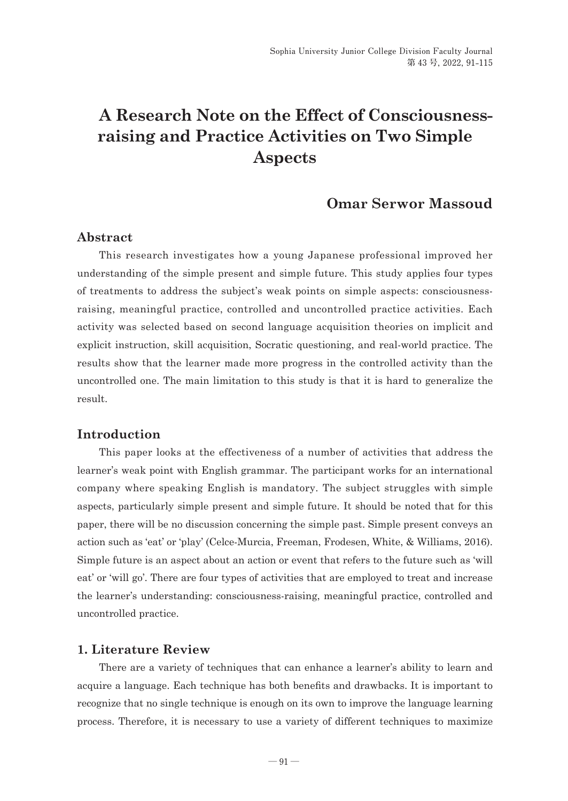# **A Research Note on the Effect of Consciousnessraising and Practice Activities on Two Simple Aspects**

## **Omar Serwor Massoud**

#### **Abstract**

This research investigates how a young Japanese professional improved her understanding of the simple present and simple future. This study applies four types of treatments to address the subject's weak points on simple aspects: consciousnessraising, meaningful practice, controlled and uncontrolled practice activities. Each activity was selected based on second language acquisition theories on implicit and explicit instruction, skill acquisition, Socratic questioning, and real-world practice. The results show that the learner made more progress in the controlled activity than the uncontrolled one. The main limitation to this study is that it is hard to generalize the result.

#### **Introduction**

This paper looks at the effectiveness of a number of activities that address the learner's weak point with English grammar. The participant works for an international company where speaking English is mandatory. The subject struggles with simple aspects, particularly simple present and simple future. It should be noted that for this paper, there will be no discussion concerning the simple past. Simple present conveys an action such as 'eat' or 'play' (Celce-Murcia, Freeman, Frodesen, White, & Williams, 2016). Simple future is an aspect about an action or event that refers to the future such as 'will eat' or 'will go'. There are four types of activities that are employed to treat and increase the learner's understanding: consciousness-raising, meaningful practice, controlled and uncontrolled practice.

#### **1. Literature Review**

There are a variety of techniques that can enhance a learner's ability to learn and acquire a language. Each technique has both benefits and drawbacks. It is important to recognize that no single technique is enough on its own to improve the language learning process. Therefore, it is necessary to use a variety of different techniques to maximize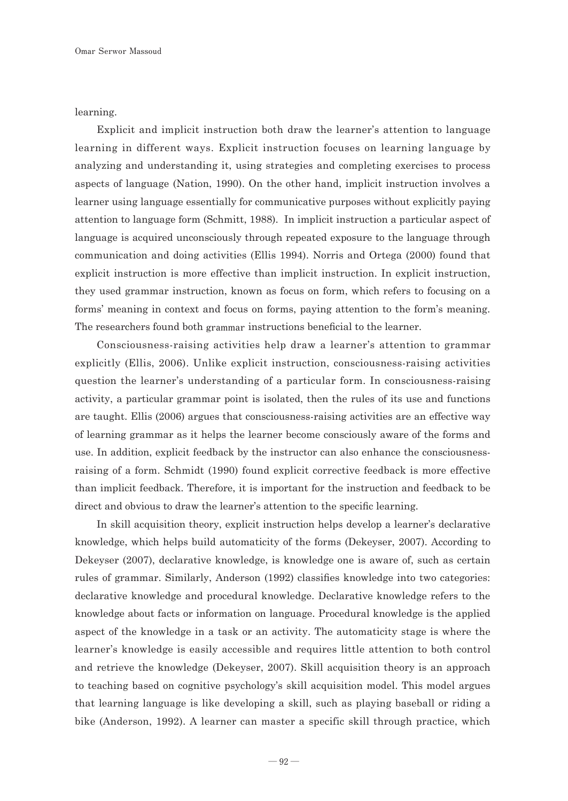learning.

Explicit and implicit instruction both draw the learner's attention to language learning in different ways. Explicit instruction focuses on learning language by analyzing and understanding it, using strategies and completing exercises to process aspects of language (Nation, 1990). On the other hand, implicit instruction involves a learner using language essentially for communicative purposes without explicitly paying attention to language form (Schmitt, 1988). In implicit instruction a particular aspect of language is acquired unconsciously through repeated exposure to the language through communication and doing activities (Ellis 1994). Norris and Ortega (2000) found that explicit instruction is more effective than implicit instruction. In explicit instruction, they used grammar instruction, known as focus on form, which refers to focusing on a forms' meaning in context and focus on forms, paying attention to the form's meaning. The researchers found both **grammar** instructions beneficial to the learner.

Consciousness-raising activities help draw a learner's attention to grammar explicitly (Ellis, 2006). Unlike explicit instruction, consciousness-raising activities question the learner's understanding of a particular form. In consciousness-raising activity, a particular grammar point is isolated, then the rules of its use and functions are taught. Ellis (2006) argues that consciousness-raising activities are an effective way of learning grammar as it helps the learner become consciously aware of the forms and use. In addition, explicit feedback by the instructor can also enhance the consciousnessraising of a form. Schmidt (1990) found explicit corrective feedback is more effective than implicit feedback. Therefore, it is important for the instruction and feedback to be direct and obvious to draw the learner's attention to the specific learning.

In skill acquisition theory, explicit instruction helps develop a learner's declarative knowledge, which helps build automaticity of the forms (Dekeyser, 2007). According to Dekeyser (2007), declarative knowledge, is knowledge one is aware of, such as certain rules of grammar. Similarly, Anderson (1992) classifies knowledge into two categories: declarative knowledge and procedural knowledge. Declarative knowledge refers to the knowledge about facts or information on language. Procedural knowledge is the applied aspect of the knowledge in a task or an activity. The automaticity stage is where the learner's knowledge is easily accessible and requires little attention to both control and retrieve the knowledge (Dekeyser, 2007). Skill acquisition theory is an approach to teaching based on cognitive psychology's skill acquisition model. This model argues that learning language is like developing a skill, such as playing baseball or riding a bike (Anderson, 1992). A learner can master a specific skill through practice, which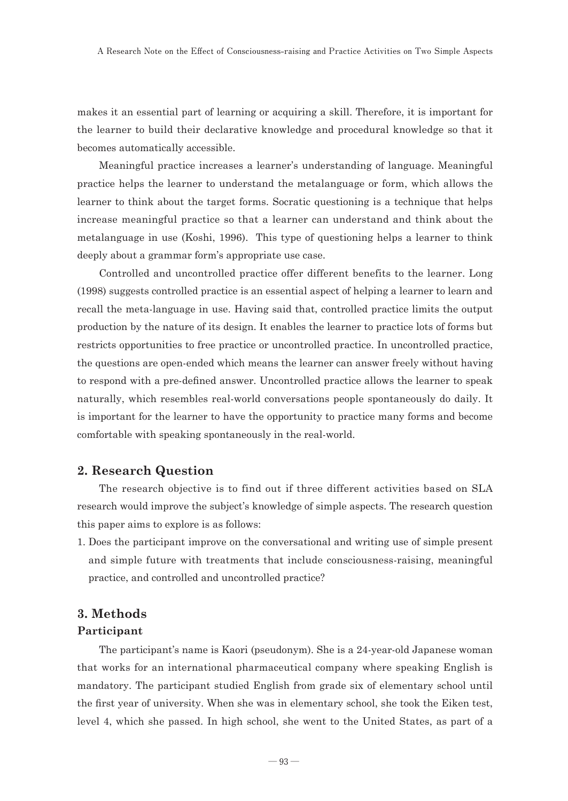makes it an essential part of learning or acquiring a skill. Therefore, it is important for the learner to build their declarative knowledge and procedural knowledge so that it becomes automatically accessible.

Meaningful practice increases a learner's understanding of language. Meaningful practice helps the learner to understand the metalanguage or form, which allows the learner to think about the target forms. Socratic questioning is a technique that helps increase meaningful practice so that a learner can understand and think about the metalanguage in use (Koshi, 1996). This type of questioning helps a learner to think deeply about a grammar form's appropriate use case.

Controlled and uncontrolled practice offer different benefits to the learner. Long (1998) suggests controlled practice is an essential aspect of helping a learner to learn and recall the meta-language in use. Having said that, controlled practice limits the output production by the nature of its design. It enables the learner to practice lots of forms but restricts opportunities to free practice or uncontrolled practice. In uncontrolled practice, the questions are open-ended which means the learner can answer freely without having to respond with a pre-defined answer. Uncontrolled practice allows the learner to speak naturally, which resembles real-world conversations people spontaneously do daily. It is important for the learner to have the opportunity to practice many forms and become comfortable with speaking spontaneously in the real-world.

#### **2. Research Question**

The research objective is to find out if three different activities based on SLA research would improve the subject's knowledge of simple aspects. The research question this paper aims to explore is as follows:

1. Does the participant improve on the conversational and writing use of simple present and simple future with treatments that include consciousness-raising, meaningful practice, and controlled and uncontrolled practice?

#### **3. Methods**

#### **Participant**

The participant's name is Kaori (pseudonym). She is a 24-year-old Japanese woman that works for an international pharmaceutical company where speaking English is mandatory. The participant studied English from grade six of elementary school until the first year of university. When she was in elementary school, she took the Eiken test, level 4, which she passed. In high school, she went to the United States, as part of a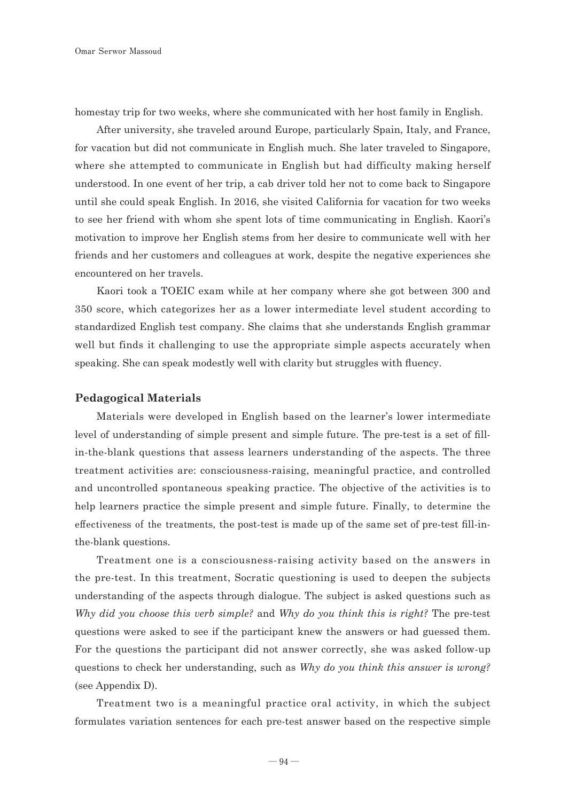homestay trip for two weeks, where she communicated with her host family in English.

After university, she traveled around Europe, particularly Spain, Italy, and France, for vacation but did not communicate in English much. She later traveled to Singapore, where she attempted to communicate in English but had difficulty making herself understood. In one event of her trip, a cab driver told her not to come back to Singapore until she could speak English. In 2016, she visited California for vacation for two weeks to see her friend with whom she spent lots of time communicating in English. Kaori's motivation to improve her English stems from her desire to communicate well with her friends and her customers and colleagues at work, despite the negative experiences she encountered on her travels.

Kaori took a TOEIC exam while at her company where she got between 300 and 350 score, which categorizes her as a lower intermediate level student according to standardized English test company. She claims that she understands English grammar well but finds it challenging to use the appropriate simple aspects accurately when speaking. She can speak modestly well with clarity but struggles with fluency.

#### **Pedagogical Materials**

Materials were developed in English based on the learner's lower intermediate level of understanding of simple present and simple future. The pre-test is a set of fillin-the-blank questions that assess learners understanding of the aspects. The three treatment activities are: consciousness-raising, meaningful practice, and controlled and uncontrolled spontaneous speaking practice. The objective of the activities is to help learners practice the simple present and simple future. Finally, **to determine the effectiveness of the treatments,** the post-test is made up of the same set of pre-test fill-inthe-blank questions.

Treatment one is a consciousness-raising activity based on the answers in the pre-test. In this treatment, Socratic questioning is used to deepen the subjects understanding of the aspects through dialogue. The subject is asked questions such as *Why did you choose this verb simple?* and *Why do you think this is right?* The pre-test questions were asked to see if the participant knew the answers or had guessed them. For the questions the participant did not answer correctly, she was asked follow-up questions to check her understanding, such as *Why do you think this answer is wrong?*  (see Appendix D).

Treatment two is a meaningful practice oral activity, in which the subject formulates variation sentences for each pre-test answer based on the respective simple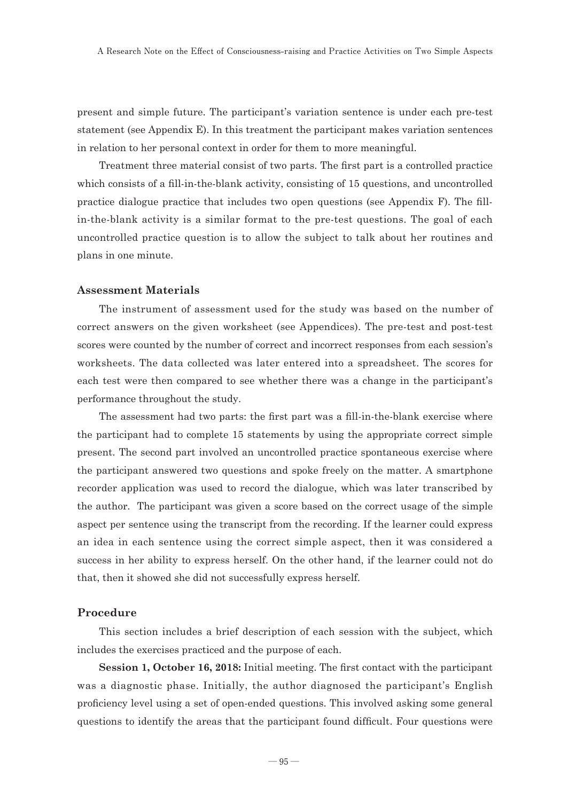present and simple future. The participant's variation sentence is under each pre-test statement (see Appendix E). In this treatment the participant makes variation sentences in relation to her personal context in order for them to more meaningful.

Treatment three material consist of two parts. The first part is a controlled practice which consists of a fill-in-the-blank activity, consisting of 15 questions, and uncontrolled practice dialogue practice that includes two open questions (see Appendix F). The fillin-the-blank activity is a similar format to the pre-test questions. The goal of each uncontrolled practice question is to allow the subject to talk about her routines and plans in one minute.

#### **Assessment Materials**

The instrument of assessment used for the study was based on the number of correct answers on the given worksheet (see Appendices). The pre-test and post-test scores were counted by the number of correct and incorrect responses from each session's worksheets. The data collected was later entered into a spreadsheet. The scores for each test were then compared to see whether there was a change in the participant's performance throughout the study.

The assessment had two parts: the first part was a fill-in-the-blank exercise where the participant had to complete 15 statements by using the appropriate correct simple present. The second part involved an uncontrolled practice spontaneous exercise where the participant answered two questions and spoke freely on the matter. A smartphone recorder application was used to record the dialogue, which was later transcribed by the author. The participant was given a score based on the correct usage of the simple aspect per sentence using the transcript from the recording. If the learner could express an idea in each sentence using the correct simple aspect, then it was considered a success in her ability to express herself. On the other hand, if the learner could not do that, then it showed she did not successfully express herself.

#### **Procedure**

This section includes a brief description of each session with the subject, which includes the exercises practiced and the purpose of each.

**Session 1, October 16, 2018:** Initial meeting. The first contact with the participant was a diagnostic phase. Initially, the author diagnosed the participant's English proficiency level using a set of open-ended questions. This involved asking some general questions to identify the areas that the participant found difficult. Four questions were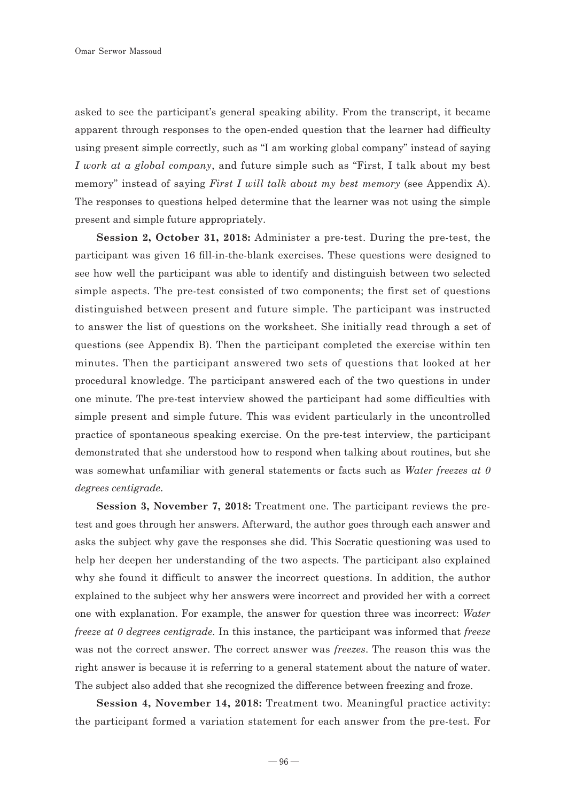asked to see the participant's general speaking ability. From the transcript, it became apparent through responses to the open-ended question that the learner had difficulty using present simple correctly, such as "I am working global company" instead of saying *I work at a global company*, and future simple such as "First, I talk about my best memory" instead of saying *First I will talk about my best memory* (see Appendix A). The responses to questions helped determine that the learner was not using the simple present and simple future appropriately.

**Session 2, October 31, 2018:** Administer a pre-test. During the pre-test, the participant was given 16 fill-in-the-blank exercises. These questions were designed to see how well the participant was able to identify and distinguish between two selected simple aspects. The pre-test consisted of two components; the first set of questions distinguished between present and future simple. The participant was instructed to answer the list of questions on the worksheet. She initially read through a set of questions (see Appendix B). Then the participant completed the exercise within ten minutes. Then the participant answered two sets of questions that looked at her procedural knowledge. The participant answered each of the two questions in under one minute. The pre-test interview showed the participant had some difficulties with simple present and simple future. This was evident particularly in the uncontrolled practice of spontaneous speaking exercise. On the pre-test interview, the participant demonstrated that she understood how to respond when talking about routines, but she was somewhat unfamiliar with general statements or facts such as *Water freezes at 0 degrees centigrade*.

**Session 3, November 7, 2018:** Treatment one. The participant reviews the pretest and goes through her answers. Afterward, the author goes through each answer and asks the subject why gave the responses she did. This Socratic questioning was used to help her deepen her understanding of the two aspects. The participant also explained why she found it difficult to answer the incorrect questions. In addition, the author explained to the subject why her answers were incorrect and provided her with a correct one with explanation. For example, the answer for question three was incorrect: *Water freeze at 0 degrees centigrade*. In this instance, the participant was informed that *freeze* was not the correct answer. The correct answer was *freezes*. The reason this was the right answer is because it is referring to a general statement about the nature of water. The subject also added that she recognized the difference between freezing and froze.

**Session 4, November 14, 2018:** Treatment two. Meaningful practice activity: the participant formed a variation statement for each answer from the pre-test. For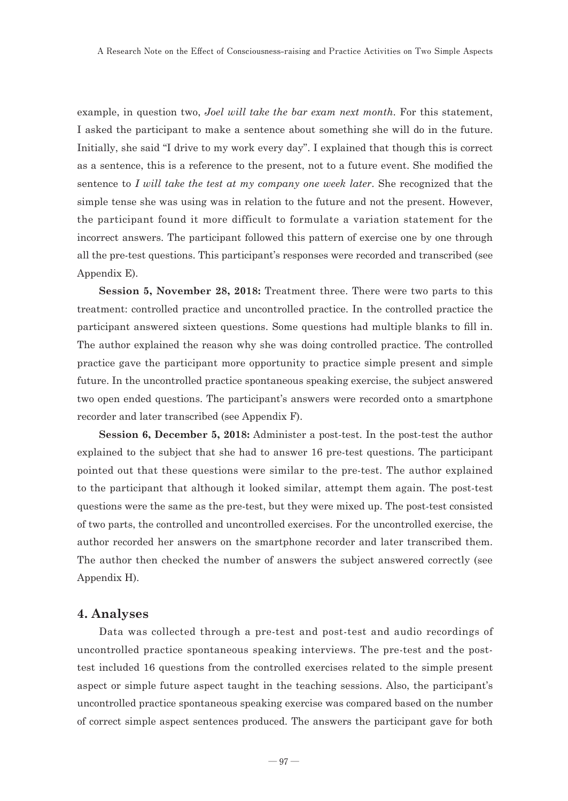example, in question two, *Joel will take the bar exam next month*. For this statement, I asked the participant to make a sentence about something she will do in the future. Initially, she said "I drive to my work every day". I explained that though this is correct as a sentence, this is a reference to the present, not to a future event. She modified the sentence to *I will take the test at my company one week later*. She recognized that the simple tense she was using was in relation to the future and not the present. However, the participant found it more difficult to formulate a variation statement for the incorrect answers. The participant followed this pattern of exercise one by one through all the pre-test questions. This participant's responses were recorded and transcribed (see Appendix E).

**Session 5, November 28, 2018:** Treatment three. There were two parts to this treatment: controlled practice and uncontrolled practice. In the controlled practice the participant answered sixteen questions. Some questions had multiple blanks to fill in. The author explained the reason why she was doing controlled practice. The controlled practice gave the participant more opportunity to practice simple present and simple future. In the uncontrolled practice spontaneous speaking exercise, the subject answered two open ended questions. The participant's answers were recorded onto a smartphone recorder and later transcribed (see Appendix F).

**Session 6, December 5, 2018:** Administer a post-test. In the post-test the author explained to the subject that she had to answer 16 pre-test questions. The participant pointed out that these questions were similar to the pre-test. The author explained to the participant that although it looked similar, attempt them again. The post-test questions were the same as the pre-test, but they were mixed up. The post-test consisted of two parts, the controlled and uncontrolled exercises. For the uncontrolled exercise, the author recorded her answers on the smartphone recorder and later transcribed them. The author then checked the number of answers the subject answered correctly (see Appendix H).

#### **4. Analyses**

Data was collected through a pre-test and post-test and audio recordings of uncontrolled practice spontaneous speaking interviews. The pre-test and the posttest included 16 questions from the controlled exercises related to the simple present aspect or simple future aspect taught in the teaching sessions. Also, the participant's uncontrolled practice spontaneous speaking exercise was compared based on the number of correct simple aspect sentences produced. The answers the participant gave for both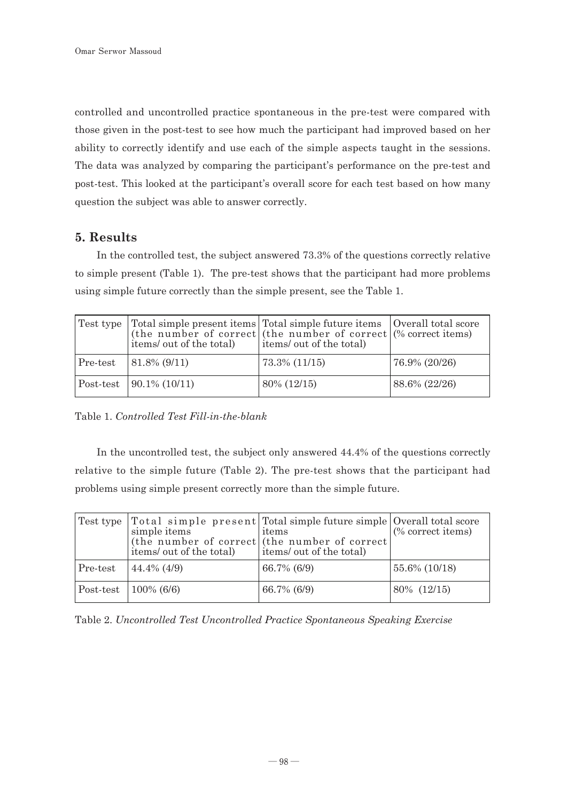controlled and uncontrolled practice spontaneous in the pre-test were compared with those given in the post-test to see how much the participant had improved based on her ability to correctly identify and use each of the simple aspects taught in the sessions. The data was analyzed by comparing the participant's performance on the pre-test and post-test. This looked at the participant's overall score for each test based on how many question the subject was able to answer correctly.

### **5. Results**

In the controlled test, the subject answered 73.3% of the questions correctly relative to simple present (Table 1). The pre-test shows that the participant had more problems using simple future correctly than the simple present, see the Table 1.

|          | items/ out of the total) | Test type Total simple present items Total simple future items   Overall total score<br>(the number of correct (the number of correct $\sqrt{(}$ % correct items)<br>items/ out of the total) |               |
|----------|--------------------------|-----------------------------------------------------------------------------------------------------------------------------------------------------------------------------------------------|---------------|
| Pre-test | $ 81.8\% (9/11) $        | 73.3% (11/15)                                                                                                                                                                                 | 76.9% (20/26) |
|          | $\sqrt{90.1\% (10/11)}$  | 80\% (12/15)                                                                                                                                                                                  | 88.6% (22/26) |

Table 1. *Controlled Test Fill-in-the-blank* 

In the uncontrolled test, the subject only answered 44.4% of the questions correctly relative to the simple future (Table 2). The pre-test shows that the participant had problems using simple present correctly more than the simple future.

|           | simple items<br>items/ out of the total) | Test type Total simple present Total simple future simple Overall total score<br>items<br>(the number of correct (the number of correct)<br>items/ out of the total) | $%$ correct items) |
|-----------|------------------------------------------|----------------------------------------------------------------------------------------------------------------------------------------------------------------------|--------------------|
| Pre-test  | $44.4\%$ (4/9)                           | 66.7% (6/9)                                                                                                                                                          | 55.6% (10/18)      |
| Post-test | $100\%$ (6/6)                            | $66.7\%$ (6/9)                                                                                                                                                       | 80\% (12/15)       |

Table 2. *Uncontrolled Test Uncontrolled Practice Spontaneous Speaking Exercise*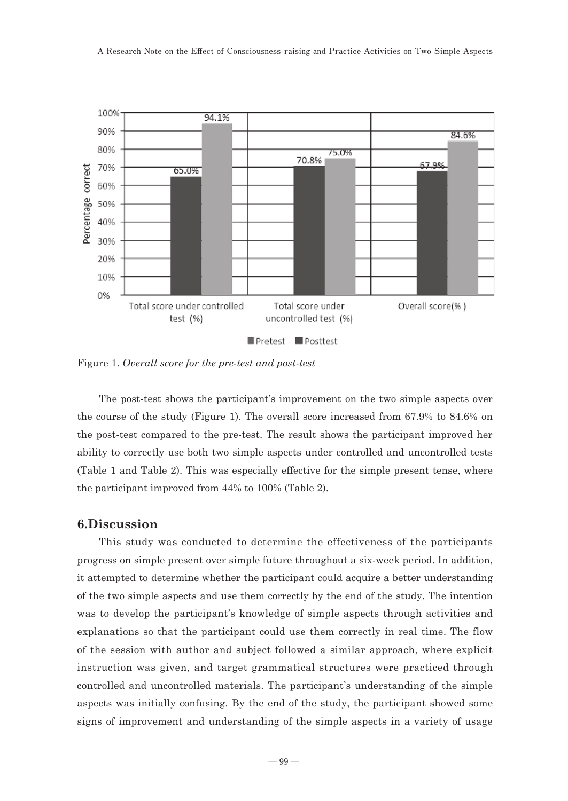

Figure 1. *Overall score for the pre-test and post-test* 

The post-test shows the participant's improvement on the two simple aspects over the course of the study (Figure 1). The overall score increased from 67.9% to 84.6% on the post-test compared to the pre-test. The result shows the participant improved her ability to correctly use both two simple aspects under controlled and uncontrolled tests (Table 1 and Table 2). This was especially effective for the simple present tense, where the participant improved from 44% to 100% (Table 2).

#### **6.Discussion**

This study was conducted to determine the effectiveness of the participants progress on simple present over simple future throughout a six-week period. In addition, it attempted to determine whether the participant could acquire a better understanding of the two simple aspects and use them correctly by the end of the study. The intention was to develop the participant's knowledge of simple aspects through activities and explanations so that the participant could use them correctly in real time. The flow of the session with author and subject followed a similar approach, where explicit instruction was given, and target grammatical structures were practiced through controlled and uncontrolled materials. The participant's understanding of the simple aspects was initially confusing. By the end of the study, the participant showed some signs of improvement and understanding of the simple aspects in a variety of usage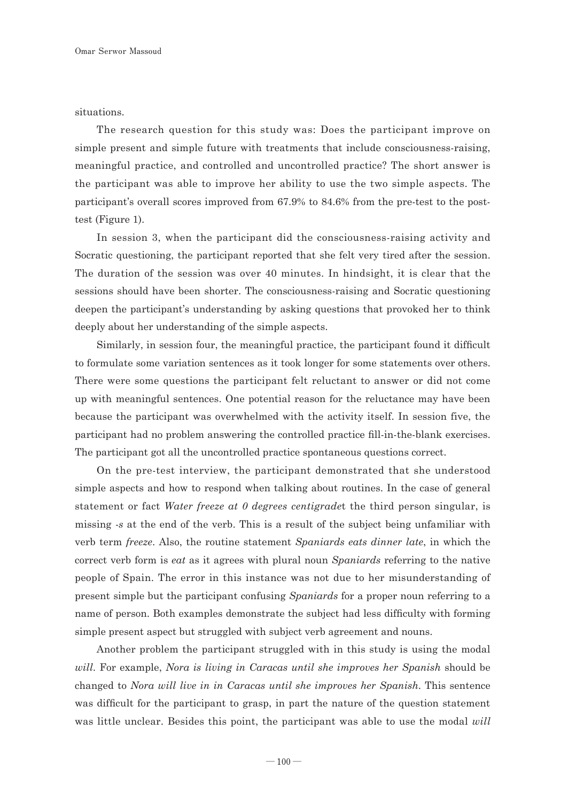situations.

The research question for this study was: Does the participant improve on simple present and simple future with treatments that include consciousness-raising, meaningful practice, and controlled and uncontrolled practice? The short answer is the participant was able to improve her ability to use the two simple aspects. The participant's overall scores improved from 67.9% to 84.6% from the pre-test to the posttest (Figure 1).

In session 3, when the participant did the consciousness-raising activity and Socratic questioning, the participant reported that she felt very tired after the session. The duration of the session was over 40 minutes. In hindsight, it is clear that the sessions should have been shorter. The consciousness-raising and Socratic questioning deepen the participant's understanding by asking questions that provoked her to think deeply about her understanding of the simple aspects.

Similarly, in session four, the meaningful practice, the participant found it difficult to formulate some variation sentences as it took longer for some statements over others. There were some questions the participant felt reluctant to answer or did not come up with meaningful sentences. One potential reason for the reluctance may have been because the participant was overwhelmed with the activity itself. In session five, the participant had no problem answering the controlled practice fill-in-the-blank exercises. The participant got all the uncontrolled practice spontaneous questions correct.

On the pre-test interview, the participant demonstrated that she understood simple aspects and how to respond when talking about routines. In the case of general statement or fact *Water freeze at 0 degrees centigrade*t the third person singular, is missing *-s* at the end of the verb. This is a result of the subject being unfamiliar with verb term *freeze*. Also, the routine statement *Spaniards eats dinner late*, in which the correct verb form is *eat* as it agrees with plural noun *Spaniards* referring to the native people of Spain. The error in this instance was not due to her misunderstanding of present simple but the participant confusing *Spaniards* for a proper noun referring to a name of person. Both examples demonstrate the subject had less difficulty with forming simple present aspect but struggled with subject verb agreement and nouns.

Another problem the participant struggled with in this study is using the modal *will*. For example, *Nora is living in Caracas until she improves her Spanish* should be changed to *Nora will live in in Caracas until she improves her Spanish*. This sentence was difficult for the participant to grasp, in part the nature of the question statement was little unclear. Besides this point, the participant was able to use the modal *will*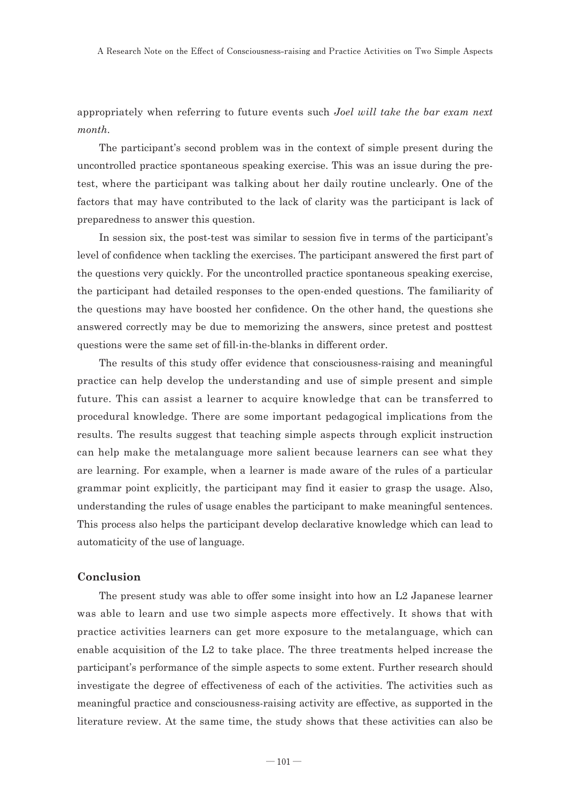appropriately when referring to future events such *Joel will take the bar exam next month*.

The participant's second problem was in the context of simple present during the uncontrolled practice spontaneous speaking exercise. This was an issue during the pretest, where the participant was talking about her daily routine unclearly. One of the factors that may have contributed to the lack of clarity was the participant is lack of preparedness to answer this question.

In session six, the post-test was similar to session five in terms of the participant's level of confidence when tackling the exercises. The participant answered the first part of the questions very quickly. For the uncontrolled practice spontaneous speaking exercise, the participant had detailed responses to the open-ended questions. The familiarity of the questions may have boosted her confidence. On the other hand, the questions she answered correctly may be due to memorizing the answers, since pretest and posttest questions were the same set of fill-in-the-blanks in different order.

The results of this study offer evidence that consciousness-raising and meaningful practice can help develop the understanding and use of simple present and simple future. This can assist a learner to acquire knowledge that can be transferred to procedural knowledge. There are some important pedagogical implications from the results. The results suggest that teaching simple aspects through explicit instruction can help make the metalanguage more salient because learners can see what they are learning. For example, when a learner is made aware of the rules of a particular grammar point explicitly, the participant may find it easier to grasp the usage. Also, understanding the rules of usage enables the participant to make meaningful sentences. This process also helps the participant develop declarative knowledge which can lead to automaticity of the use of language.

#### **Conclusion**

The present study was able to offer some insight into how an L2 Japanese learner was able to learn and use two simple aspects more effectively. It shows that with practice activities learners can get more exposure to the metalanguage, which can enable acquisition of the L2 to take place. The three treatments helped increase the participant's performance of the simple aspects to some extent. Further research should investigate the degree of effectiveness of each of the activities. The activities such as meaningful practice and consciousness-raising activity are effective, as supported in the literature review. At the same time, the study shows that these activities can also be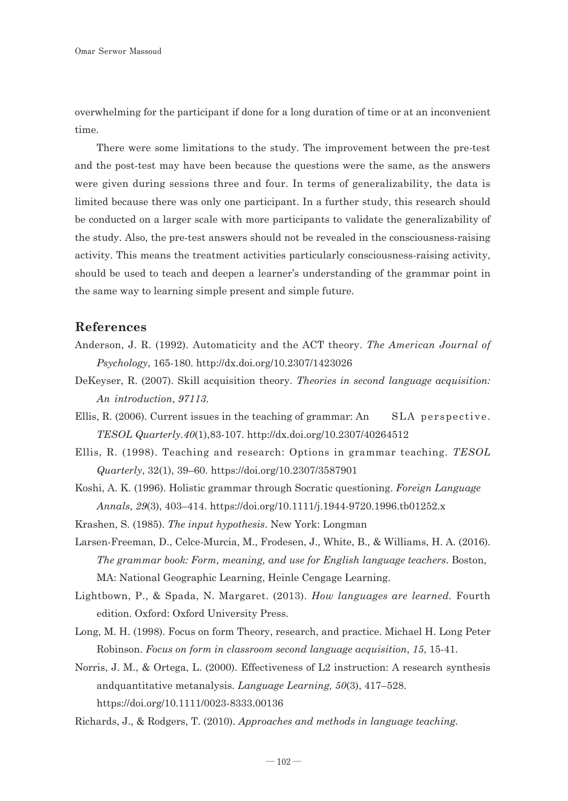overwhelming for the participant if done for a long duration of time or at an inconvenient time.

There were some limitations to the study. The improvement between the pre-test and the post-test may have been because the questions were the same, as the answers were given during sessions three and four. In terms of generalizability, the data is limited because there was only one participant. In a further study, this research should be conducted on a larger scale with more participants to validate the generalizability of the study. Also, the pre-test answers should not be revealed in the consciousness-raising activity. This means the treatment activities particularly consciousness-raising activity, should be used to teach and deepen a learner's understanding of the grammar point in the same way to learning simple present and simple future.

#### **References**

- Anderson, J. R. (1992). Automaticity and the ACT theory. *The American Journal of Psychology*, 165-180. http://dx.doi.org/10.2307/1423026
- DeKeyser, R. (2007). Skill acquisition theory. *Theories in second language acquisition: An introduction*, *97113*.
- Ellis, R. (2006). Current issues in the teaching of grammar: An SLA perspective. *TESOL Quarterly.40*(1),83-107. http://dx.doi.org/10.2307/40264512
- Ellis, R. (1998). Teaching and research: Options in grammar teaching. *TESOL Quarterly*, 32(1), 39–60. https://doi.org/10.2307/3587901
- Koshi, A. K. (1996). Holistic grammar through Socratic questioning. *Foreign Language Annals*, *29*(3), 403–414. https://doi.org/10.1111/j.1944-9720.1996.tb01252.x
- Krashen, S. (1985). *The input hypothesis*. New York: Longman
- Larsen-Freeman, D., Celce-Murcia, M., Frodesen, J., White, B., & Williams, H. A. (2016). *The grammar book: Form, meaning, and use for English language teachers*. Boston, MA: National Geographic Learning, Heinle Cengage Learning.
- Lightbown, P., & Spada, N. Margaret. (2013). *How languages are learned.* Fourth edition. Oxford: Oxford University Press.
- Long, M. H. (1998). Focus on form Theory, research, and practice. Michael H. Long Peter Robinson. *Focus on form in classroom second language acquisition*, *15*, 15-41.
- Norris, J. M., & Ortega, L. (2000). Effectiveness of L2 instruction: A research synthesis andquantitative metanalysis. *Language Learning, 50*(3), 417–528. https://doi.org/10.1111/0023-8333.00136
- Richards, J., & Rodgers, T. (2010). *Approaches and methods in language teaching.*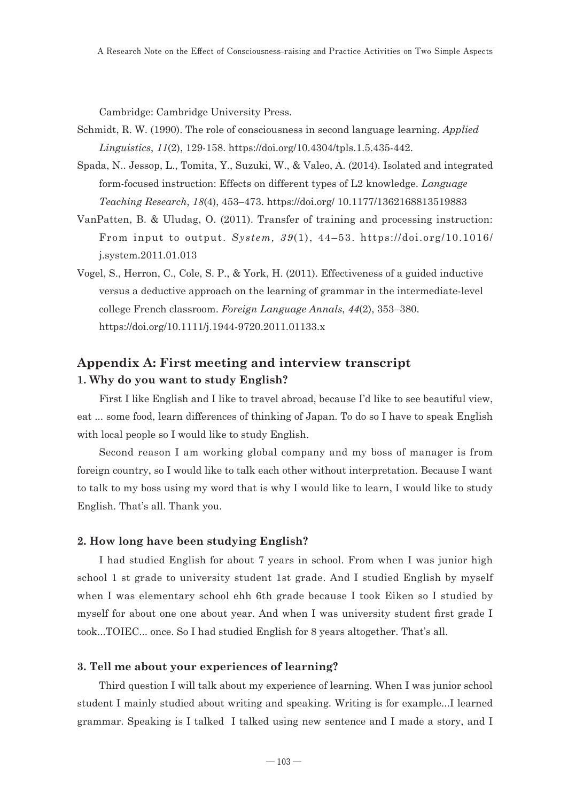Cambridge: Cambridge University Press.

- Schmidt, R. W. (1990). The role of consciousness in second language learning. *Applied Linguistics*, *11*(2), 129-158. https://doi.org/10.4304/tpls.1.5.435-442.
- Spada, N.. Jessop, L., Tomita, Y., Suzuki, W., & Valeo, A. (2014). Isolated and integrated form-focused instruction: Effects on different types of L2 knowledge. *Language Teaching Research*, *18*(4), 453–473. https://doi.org/ 10.1177/1362168813519883
- VanPatten, B. & Uludag, O. (2011). Transfer of training and processing instruction: From input to output. *System, 39*(1), 44–53. https://doi.org/10.1016/ j.system.2011.01.013
- Vogel, S., Herron, C., Cole, S. P., & York, H. (2011). Effectiveness of a guided inductive versus a deductive approach on the learning of grammar in the intermediate-level college French classroom. *Foreign Language Annals*, *44*(2), 353–380. https://doi.org/10.1111/j.1944-9720.2011.01133.x

### **Appendix A: First meeting and interview transcript 1. Why do you want to study English?**

First I like English and I like to travel abroad, because I'd like to see beautiful view, eat ... some food, learn differences of thinking of Japan. To do so I have to speak English with local people so I would like to study English.

Second reason I am working global company and my boss of manager is from foreign country, so I would like to talk each other without interpretation. Because I want to talk to my boss using my word that is why I would like to learn, I would like to study English. That's all. Thank you.

#### **2. How long have been studying English?**

I had studied English for about 7 years in school. From when I was junior high school 1 st grade to university student 1st grade. And I studied English by myself when I was elementary school ehh 6th grade because I took Eiken so I studied by myself for about one one about year. And when I was university student first grade I took...TOIEC... once. So I had studied English for 8 years altogether. That's all.

#### **3. Tell me about your experiences of learning?**

Third question I will talk about my experience of learning. When I was junior school student I mainly studied about writing and speaking. Writing is for example...I learned grammar. Speaking is I talked I talked using new sentence and I made a story, and I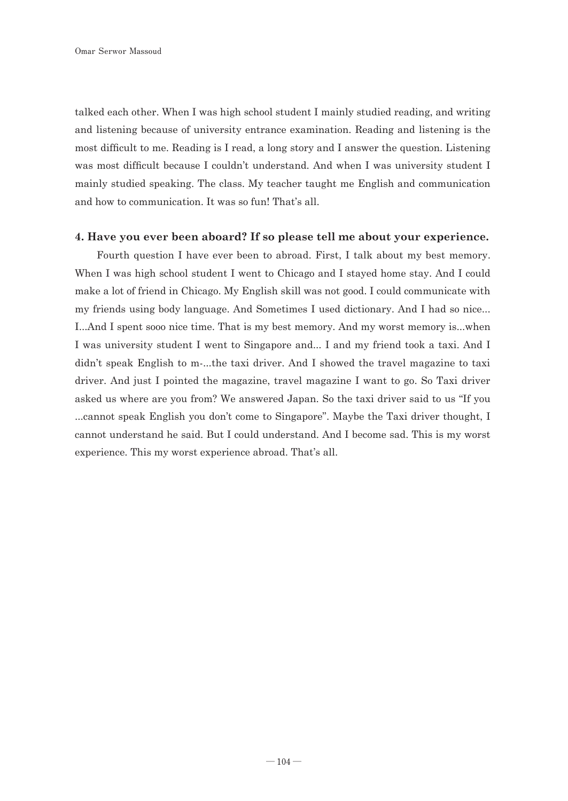talked each other. When I was high school student I mainly studied reading, and writing and listening because of university entrance examination. Reading and listening is the most difficult to me. Reading is I read, a long story and I answer the question. Listening was most difficult because I couldn't understand. And when I was university student I mainly studied speaking. The class. My teacher taught me English and communication and how to communication. It was so fun! That's all.

#### **4. Have you ever been aboard? If so please tell me about your experience.**

Fourth question I have ever been to abroad. First, I talk about my best memory. When I was high school student I went to Chicago and I stayed home stay. And I could make a lot of friend in Chicago. My English skill was not good. I could communicate with my friends using body language. And Sometimes I used dictionary. And I had so nice... I...And I spent sooo nice time. That is my best memory. And my worst memory is...when I was university student I went to Singapore and... I and my friend took a taxi. And I didn't speak English to m-...the taxi driver. And I showed the travel magazine to taxi driver. And just I pointed the magazine, travel magazine I want to go. So Taxi driver asked us where are you from? We answered Japan. So the taxi driver said to us "If you ...cannot speak English you don't come to Singapore". Maybe the Taxi driver thought, I cannot understand he said. But I could understand. And I become sad. This is my worst experience. This my worst experience abroad. That's all.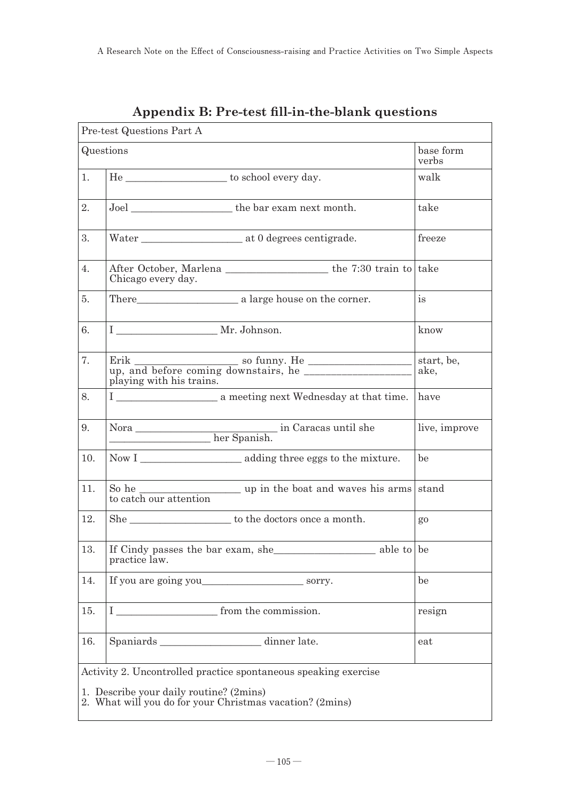| Pre-test Questions Part A                                                                                                                                              |                                                                                   |                    |
|------------------------------------------------------------------------------------------------------------------------------------------------------------------------|-----------------------------------------------------------------------------------|--------------------|
| Questions                                                                                                                                                              |                                                                                   | base form<br>verbs |
| 1.                                                                                                                                                                     | He _______________________ to school every day.                                   | walk               |
| 2.                                                                                                                                                                     |                                                                                   | take               |
| 3.                                                                                                                                                                     |                                                                                   | freeze             |
| 4.                                                                                                                                                                     | Chicago every day.                                                                |                    |
| 5.                                                                                                                                                                     |                                                                                   | is                 |
| 6.                                                                                                                                                                     | I __________________ Mr. Johnson.                                                 | know               |
| 7.                                                                                                                                                                     | playing with his trains.                                                          | start, be,<br>ake. |
| 8.                                                                                                                                                                     |                                                                                   | have               |
| 9.                                                                                                                                                                     |                                                                                   | live, improve      |
| 10.                                                                                                                                                                    |                                                                                   | be                 |
| 11.                                                                                                                                                                    | So he $\frac{1}{2}$ to catch our attention with the boat and waves his arms stand |                    |
| 12.                                                                                                                                                                    |                                                                                   | $g_0$              |
| 13.                                                                                                                                                                    | practice law.                                                                     |                    |
| 14.                                                                                                                                                                    | If you are going you sorry.                                                       | be                 |
| 15.                                                                                                                                                                    | Ι<br>from the commission.                                                         | resign             |
| 16.                                                                                                                                                                    | dinner late.<br>Spaniards                                                         | eat                |
| Activity 2. Uncontrolled practice spontaneous speaking exercise<br>1. Describe your daily routine? (2mins)<br>2. What will you do for your Christmas vacation? (2mins) |                                                                                   |                    |

### **Appendix B: Pre-test fill-in-the-blank questions**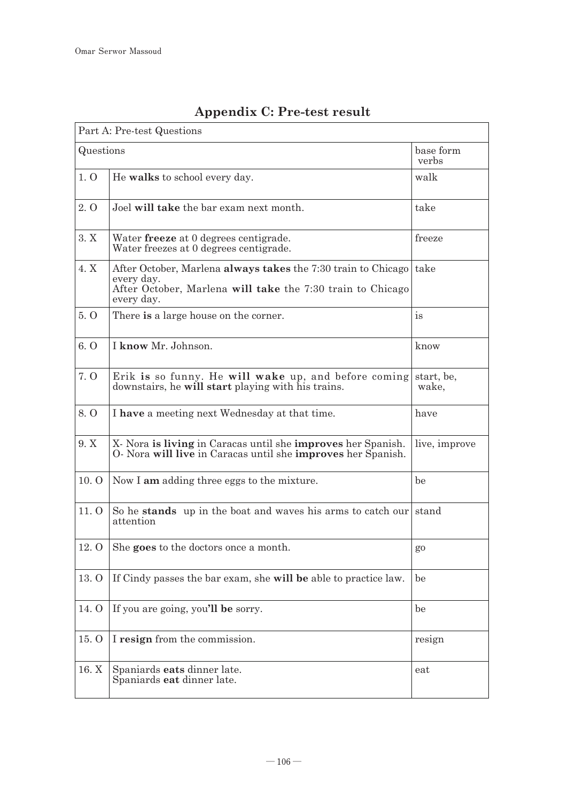| Part A: Pre-test Questions |                                                                                                                                                         |                     |
|----------------------------|---------------------------------------------------------------------------------------------------------------------------------------------------------|---------------------|
| Questions                  |                                                                                                                                                         | base form<br>verbs  |
| 1.0                        | He walks to school every day.                                                                                                                           | walk                |
| 2.0                        | Joel will take the bar exam next month.                                                                                                                 | take                |
| 3. X                       | Water <b>freeze</b> at 0 degrees centigrade.<br>Water freezes at 0 degrees centigrade.                                                                  | freeze              |
| 4. X                       | After October, Marlena always takes the 7:30 train to Chicago<br>every day.<br>After October, Marlena will take the 7:30 train to Chicago<br>every day. | take                |
| 5.0                        | There is a large house on the corner.                                                                                                                   | is                  |
| 6. 0                       | I know Mr. Johnson.                                                                                                                                     | know                |
| 7. Q                       | Erik is so funny. He will wake up, and before coming<br>downstairs, he will start playing with his trains.                                              | start, be,<br>wake. |
| 8. Q                       | I have a meeting next Wednesday at that time.                                                                                                           | have                |
| 9. X                       | X- Nora is living in Caracas until she improves her Spanish.<br>O- Nora will live in Caracas until she improves her Spanish.                            | live, improve       |
| 10.0                       | Now I am adding three eggs to the mixture.                                                                                                              | be                  |
| 11.0                       | So he stands up in the boat and waves his arms to catch our stand<br>attention                                                                          |                     |
| 12.0                       | She goes to the doctors once a month.                                                                                                                   | $g_0$               |
| 13.0                       | If Cindy passes the bar exam, she will be able to practice law.                                                                                         | be                  |
| 14. O                      | If you are going, you'll be sorry.                                                                                                                      | be                  |
| 15. O                      | I resign from the commission.                                                                                                                           | resign              |
| 16. X                      | Spaniards eats dinner late.<br>Spaniards eat dinner late.                                                                                               | eat                 |

# **Appendix C: Pre-test result**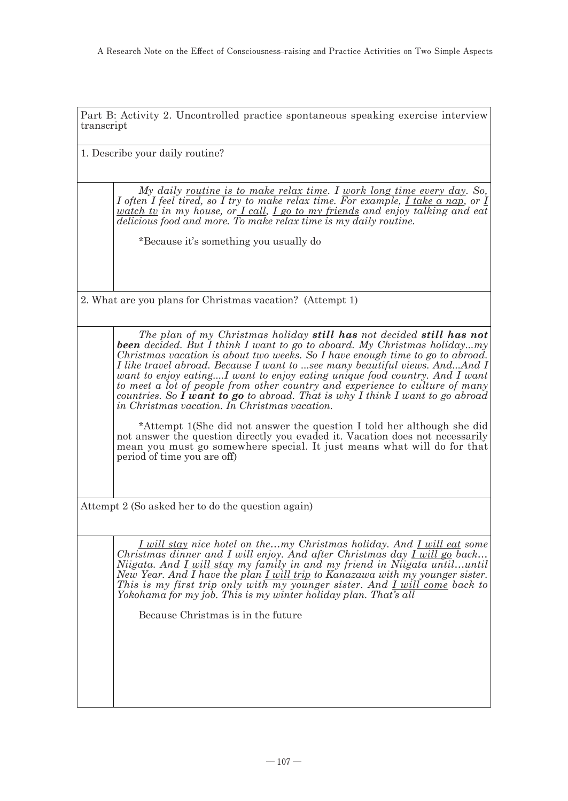Part B: Activity 2. Uncontrolled practice spontaneous speaking exercise interview transcript

1. Describe your daily routine?

*My daily routine is to make relax time. I work long time every day. So, I* often *I feel tired, so I try to make relax time. For example, I take a nap, or I watch tv in my house, or I call, I go to my friends and enjoy talking and eat delicious food and more. To make relax time is my daily routine.*

\*Because it's something you usually do

2. What are you plans for Christmas vacation? (Attempt 1)

*The plan of my Christmas holiday still has not decided still has not been decided. But I think I want to go to aboard. My Christmas holiday...my Christmas vacation is about two weeks. So I have enough time to go to abroad. I like travel abroad. Because I want to ...see many beautiful views. And...And I want to enjoy eating....I want to enjoy eating unique food country. And I want to meet a lot of people from other country and experience to culture of many countries. So I want to go to abroad. That is why I think I want to go abroad in Christmas vacation. In Christmas vacation.*

\*Attempt 1(She did not answer the question I told her although she did not answer the question directly you evaded it. Vacation does not necessarily mean you must go somewhere special. It just means what will do for that period of time you are off)

Attempt 2 (So asked her to do the question again)

*I will stay nice hotel on the…my Christmas holiday. And I will eat some Christmas dinner and I will enjoy. And after Christmas day I will go back… Niigata. And <u>I will stay</u> my family in and my friend in Niigata until…until New Year. And I have the plan I will trip to Kanazawa with my younger sister. This is my first trip only with my younger sister. And I will come back to Yokohama for my job. This is my winter holiday plan. That's all*

Because Christmas is in the future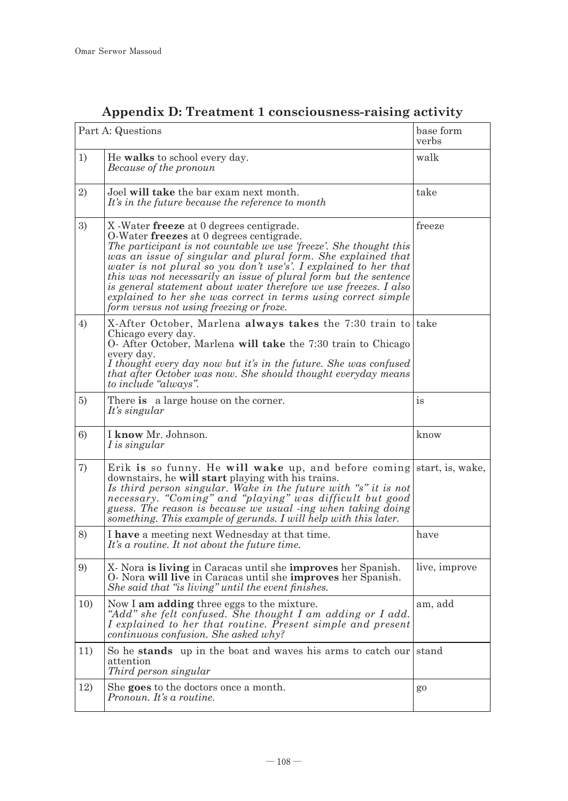| Part A: Questions |                                                                                                                                                                                                                                                                                                                                                                                                                                                                                                                                                         | base form<br>verbs     |
|-------------------|---------------------------------------------------------------------------------------------------------------------------------------------------------------------------------------------------------------------------------------------------------------------------------------------------------------------------------------------------------------------------------------------------------------------------------------------------------------------------------------------------------------------------------------------------------|------------------------|
| 1)                | He walks to school every day.<br>Because of the pronoun                                                                                                                                                                                                                                                                                                                                                                                                                                                                                                 | walk                   |
| 2)                | Joel will take the bar exam next month.<br>It's in the future because the reference to month                                                                                                                                                                                                                                                                                                                                                                                                                                                            | take                   |
| 3)                | X - Water freeze at 0 degrees centigrade.<br>O-Water freezes at 0 degrees centigrade.<br>The participant is not countable we use 'freeze'. She thought this<br>was an issue of singular and plural form. She explained that<br>water is not plural so you don't use's'. I explained to her that<br>this was not necessarily an issue of plural form but the sentence<br>is general statement about water therefore we use freezes. I also<br>explained to her she was correct in terms using correct simple<br>form versus not using freezing or froze. | freeze                 |
| 4)                | X-After October, Marlena always takes the 7:30 train to take<br>Chicago every day.<br>O- After October, Marlena will take the 7:30 train to Chicago<br>every day.<br>I thought every day now but it's in the future. She was confused<br>that after October was now. She should thought everyday means<br>to include "always".                                                                                                                                                                                                                          |                        |
| 5)                | There is a large house on the corner.<br>It's singular                                                                                                                                                                                                                                                                                                                                                                                                                                                                                                  | $\mathrm{i}\mathbf{s}$ |
| 6)                | I know Mr. Johnson.<br>I is singular                                                                                                                                                                                                                                                                                                                                                                                                                                                                                                                    | know                   |
| 7)                | Erik is so funny. He will wake up, and before coming start, is, wake,<br>downstairs, he will start playing with his trains.<br>Is third person singular. Wake in the future with "s" it is not<br>necessary. "Coming" and "playing" was difficult but good<br>guess. The reason is because we usual -ing when taking doing<br>something. This example of gerunds. I will help with this later.                                                                                                                                                          |                        |
| 8)                | I have a meeting next Wednesday at that time.<br>It's a routine. It not about the future time.                                                                                                                                                                                                                                                                                                                                                                                                                                                          | have                   |
| 9)                | X. Nora is living in Caracas until she improves her Spanish.<br>O- Nora will live in Caracas until she improves her Spanish.<br>She said that "is living" until the event finishes.                                                                                                                                                                                                                                                                                                                                                                     | live, improve          |
| 1 <sub>0</sub>    | Now I am adding three eggs to the mixture.<br>"Add" she felt confused. She thought I am adding or I add.<br>I explained to her that routine. Present simple and present<br>continuous confusion. She asked why?                                                                                                                                                                                                                                                                                                                                         | am, add                |
| 11)               | So he stands up in the boat and waves his arms to catch our stand<br>attention<br>Third person singular                                                                                                                                                                                                                                                                                                                                                                                                                                                 |                        |
| 12)               | She goes to the doctors once a month.<br>Pronoun. It's a routine.                                                                                                                                                                                                                                                                                                                                                                                                                                                                                       | $g_0$                  |

# **Appendix D: Treatment 1 consciousness-raising activity**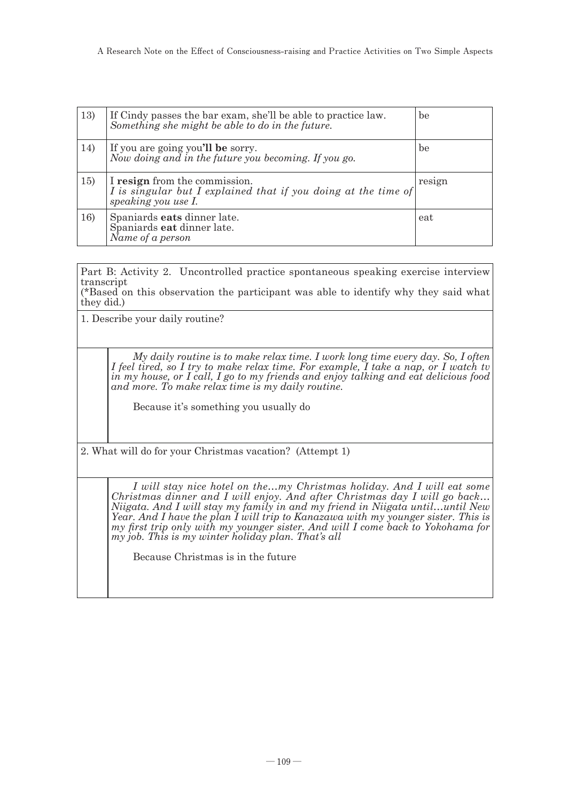| 13) | If Cindy passes the bar exam, she'll be able to practice law.<br>Something she might be able to do in the future.      | be     |
|-----|------------------------------------------------------------------------------------------------------------------------|--------|
| 14) | If you are going you'll be sorry.<br>Now doing and in the future you becoming. If you go.                              | be     |
| 15) | I resign from the commission.<br>I is singular but I explained that if you doing at the time of<br>speaking you use I. | resign |
| 16) | Spaniards eats dinner late.<br>Spaniards eat dinner late.<br>Name of a person                                          | eat    |

Part B: Activity 2. Uncontrolled practice spontaneous speaking exercise interview transcript

(\*Based on this observation the participant was able to identify why they said what they did.)

1. Describe your daily routine?

*My daily routine is to make relax time. I work long time every day. So, I often I feel tired, so I try to make relax time. For example, I take a nap, or I watch tv in my house, or I call, I go to my friends and enjoy talking and eat delicious food and more. To make relax time is my daily routine.*

Because it's something you usually do

2. What will do for your Christmas vacation? (Attempt 1)

*I will stay nice hotel on the…my Christmas holiday. And I will eat some Christmas dinner and I will enjoy. And after Christmas day I will go back… Niigata. And I will stay my family in and my friend in Niigata until…until New Year. And I have the plan I will trip to Kanazawa with my younger sister. This is my first trip only with my younger sister. And will I come back to Yokohama for my job. This is my winter holiday plan. That's all*

Because Christmas is in the future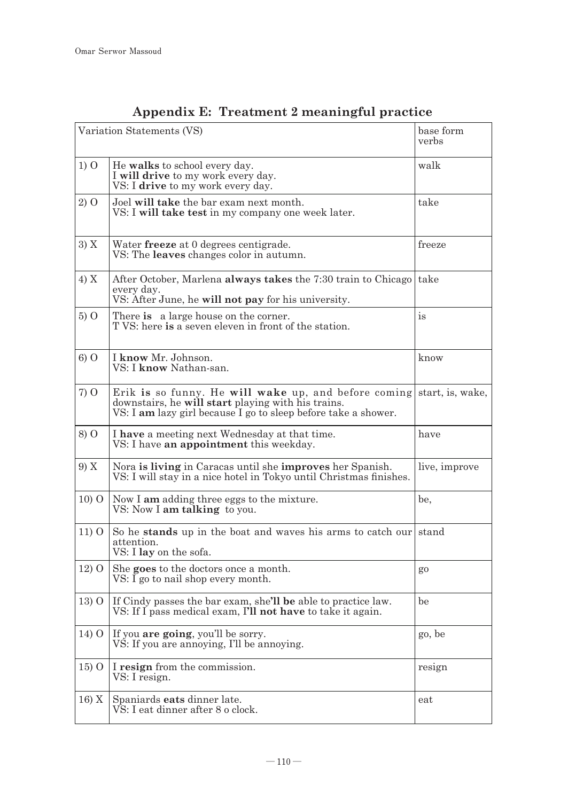| Variation Statements (VS) |                                                                                                                                                                                               | base form<br>verbs |
|---------------------------|-----------------------------------------------------------------------------------------------------------------------------------------------------------------------------------------------|--------------------|
| $1)$ O                    | He walks to school every day.<br>I will drive to my work every day.<br>VS: I drive to my work every day.                                                                                      | walk               |
| 2) O                      | Joel will take the bar exam next month.<br>VS: I will take test in my company one week later.                                                                                                 | take               |
| 3) X                      | Water freeze at 0 degrees centigrade.<br>VS: The <b>leaves</b> changes color in autumn.                                                                                                       | freeze             |
| 4) X                      | After October, Marlena always takes the 7:30 train to Chicago take<br>every day.<br>VS: After June, he will not pay for his university.                                                       |                    |
| 500                       | There is a large house on the corner.<br>T VS: here is a seven eleven in front of the station.                                                                                                | $\mathrm{is}$      |
| 600                       | I know Mr. Johnson.<br>VS: I <b>know</b> Nathan-san.                                                                                                                                          | know               |
| $7)$ O                    | Erik is so funny. He will wake up, and before coming start, is, wake,<br>downstairs, he will start playing with his trains.<br>VS: I am lazy girl because I go to sleep before take a shower. |                    |
| 8) O                      | I have a meeting next Wednesday at that time.<br>VS: I have an appointment this weekday.                                                                                                      | have               |
| 9) X                      | Nora is living in Caracas until she improves her Spanish.<br>VS: I will stay in a nice hotel in Tokyo until Christmas finishes.                                                               | live, improve      |
| 1000                      | Now I am adding three eggs to the mixture.<br>VS: Now I am talking to you.                                                                                                                    | be,                |
| 11) O                     | So he stands up in the boat and waves his arms to catch our stand<br>attention.<br>VS: I lay on the sofa.                                                                                     |                    |
| $12)$ O                   | She goes to the doctors once a month.<br>$VS: I$ go to nail shop every month.                                                                                                                 | go                 |
| $13)$ O                   | If Cindy passes the bar exam, she'll be able to practice law.<br>VS: If I pass medical exam, I'll not have to take it again.                                                                  | be                 |
| $14)$ O                   | If you are going, you'll be sorry.<br>VS: If you are annoying, I'll be annoying.                                                                                                              | go, be             |
| $15)$ O                   | I resign from the commission.<br>VS: I resign.                                                                                                                                                | resign             |
| 16) X                     | Spaniards eats dinner late.<br>VS: I eat dinner after 8 o clock.                                                                                                                              | eat                |

# **Appendix E: Treatment 2 meaningful practice**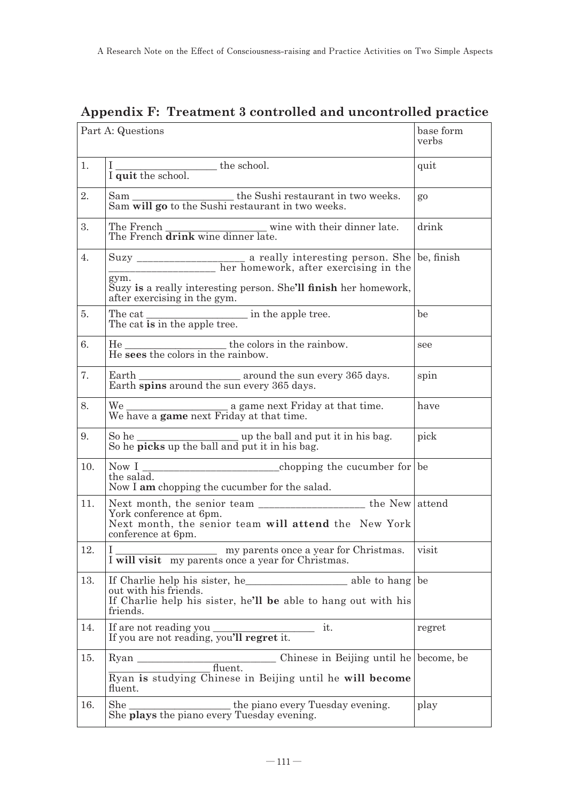| Part A: Questions |                                                                                                                                                                             | base form<br>verbs |
|-------------------|-----------------------------------------------------------------------------------------------------------------------------------------------------------------------------|--------------------|
| 1.                | $\frac{1}{1}$ quit the school.                                                                                                                                              | quit               |
| 2.                | Sam will go to the Sushi restaurant in two weeks.<br>Sam will go to the Sushi restaurant in two weeks.                                                                      | $g_0$              |
| 3.                | The French $\frac{1}{\text{d} \text{rink}}$ wine dinner late.                                                                                                               | drink              |
| 4.                | gym.<br>Suzy is a really interesting person. She'll finish her homework,                                                                                                    |                    |
|                   | after exercising in the gym.                                                                                                                                                |                    |
| 5.                | The cat is in the apple tree.                                                                                                                                               | be                 |
| 6.                | $He$ sees the colors in the rainbow.<br>He sees the colors in the rainbow.                                                                                                  | see                |
| 7.                | Earth $\frac{1}{\text{Earth spins around the sun every 365 days}}$ .                                                                                                        | spin               |
| 8.                | We have a game next Friday at that time.<br>We have a game next Friday at that time.                                                                                        | have               |
| 9.                | So he $\frac{1}{\text{S0}}$ he $\frac{1}{\text{picks up the ball and put it in his bag}}$ .                                                                                 | pick               |
| 10.               | the salad.<br>Now I am chopping the cucumber for the salad.                                                                                                                 |                    |
| 11.               | Next month, the senior team _______________________ the New attend<br>York conference at 6pm.<br>Next month, the senior team will attend the New York<br>conference at 6pm. |                    |
| 12.               | L<br>my parents once a year for Christmas.<br>I will visit my parents once a year for Christmas.                                                                            | visit              |
| 13.               | out with his friends.<br>If Charlie help his sister, he'll be able to hang out with his<br>friends.                                                                         |                    |
| 14.               | If are not reading you ____<br>it.<br>If you are not reading, you'll regret it.                                                                                             | regret             |
| 15.               | Chinese in Beijing until he become, be<br><b>Ryan</b><br>fluent.<br>Ryan is studying Chinese in Beijing until he will become<br>fluent.                                     |                    |
| 16.               | She<br>the piano every Tuesday evening.<br>She plays the piano every Tuesday evening.                                                                                       | play               |

### **Appendix F: Treatment 3 controlled and uncontrolled practice**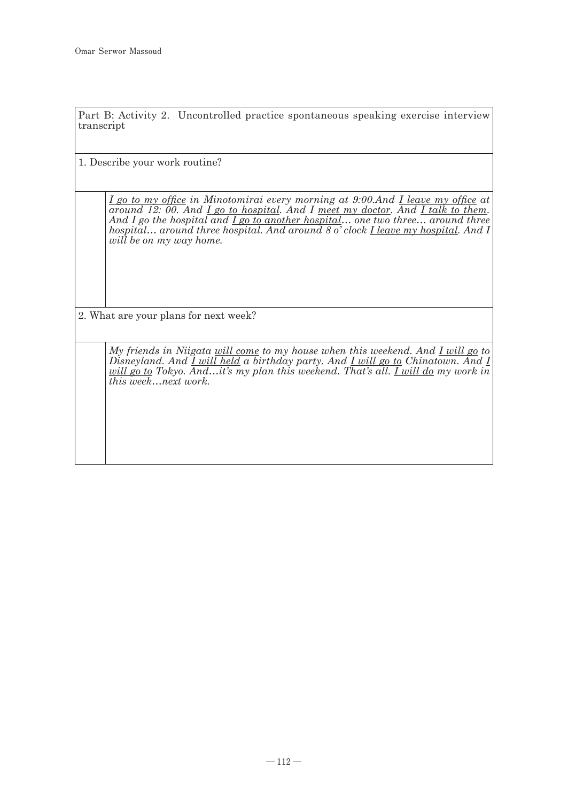Part B: Activity 2. Uncontrolled practice spontaneous speaking exercise interview transcript

1. Describe your work routine?

*I go to my office in Minotomirai every morning at 9:00.And I leave my office at around 12: 00. And I go to hospital. And I meet my doctor. And I talk to them. And I go the hospital and I go to another hospital… one two three… around three hospital… around three hospital. And around 8 o' clock I leave my hospital. And I will be on my way home.* 

2. What are your plans for next week?

*My friends in Niigata will come to my house when this weekend. And I will go to Disneyland. And I will held a birthday party. And I will go to Chinatown. And I will go to Tokyo. And…it's my plan this weekend. That's all. I will do my work in this week…next work.*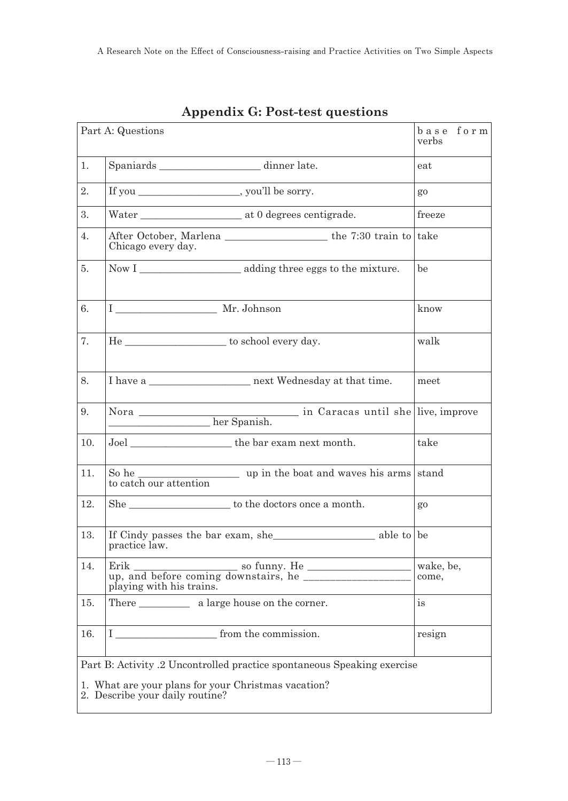| Part A: Questions                                                                                                                                                 |                                                                                                                                                                                                                                                                                                                                                                                                                                                                      | base form<br>verbs |
|-------------------------------------------------------------------------------------------------------------------------------------------------------------------|----------------------------------------------------------------------------------------------------------------------------------------------------------------------------------------------------------------------------------------------------------------------------------------------------------------------------------------------------------------------------------------------------------------------------------------------------------------------|--------------------|
| 1.                                                                                                                                                                | Spaniards __________________________ dinner late.                                                                                                                                                                                                                                                                                                                                                                                                                    | eat                |
| 2.                                                                                                                                                                | If you _______________________, you'll be sorry.                                                                                                                                                                                                                                                                                                                                                                                                                     | $g_0$              |
| 3.                                                                                                                                                                |                                                                                                                                                                                                                                                                                                                                                                                                                                                                      | freeze             |
| $\overline{4}$ .                                                                                                                                                  | After October, Marlena the 7:30 train to take<br>Chicago every day.                                                                                                                                                                                                                                                                                                                                                                                                  |                    |
| 5.                                                                                                                                                                |                                                                                                                                                                                                                                                                                                                                                                                                                                                                      | be                 |
| 6.                                                                                                                                                                | I Mr. Johnson                                                                                                                                                                                                                                                                                                                                                                                                                                                        | know               |
| 7.                                                                                                                                                                |                                                                                                                                                                                                                                                                                                                                                                                                                                                                      | walk               |
| 8.                                                                                                                                                                |                                                                                                                                                                                                                                                                                                                                                                                                                                                                      | meet               |
| 9.                                                                                                                                                                |                                                                                                                                                                                                                                                                                                                                                                                                                                                                      |                    |
| 10.                                                                                                                                                               |                                                                                                                                                                                                                                                                                                                                                                                                                                                                      | take               |
| 11.                                                                                                                                                               | $\frac{1}{\sqrt{1-\frac{1}{\sqrt{1-\frac{1}{\sqrt{1-\frac{1}{\sqrt{1-\frac{1}{\sqrt{1-\frac{1}{\sqrt{1-\frac{1}{\sqrt{1-\frac{1}{\sqrt{1-\frac{1}{\sqrt{1-\frac{1}{\sqrt{1-\frac{1}{\sqrt{1-\frac{1}{\sqrt{1-\frac{1}{\sqrt{1-\frac{1}{\sqrt{1-\frac{1}{\sqrt{1-\frac{1}{\sqrt{1-\frac{1}{\sqrt{1-\frac{1}{\sqrt{1-\frac{1}{\sqrt{1-\frac{1}{\sqrt{1-\frac{1}{\sqrt{1-\frac{1}{\sqrt{1-\frac{1}{\sqrt{1-\frac{1}{\sqrt{1-\frac{1$<br>So he<br>to catch our attention |                    |
| 12.                                                                                                                                                               | $\begin{minipage}{.4\linewidth} \textbf{She}\textcolor{red}{.}\hspace{.6cm}\underline{\hspace{.6cm}} \textbf{to the doctors once a month.} \end{minipage}$                                                                                                                                                                                                                                                                                                           | go                 |
| 13.                                                                                                                                                               | If Cindy passes the bar exam, she also show able to be<br>practice law.                                                                                                                                                                                                                                                                                                                                                                                              |                    |
| 14.                                                                                                                                                               | Erik<br>up, and before coming downstairs, he<br>playing with his trains.                                                                                                                                                                                                                                                                                                                                                                                             | wake, be,<br>come, |
| 15.                                                                                                                                                               | There a large house on the corner.                                                                                                                                                                                                                                                                                                                                                                                                                                   | is                 |
| 16.                                                                                                                                                               | Ι<br>from the commission.                                                                                                                                                                                                                                                                                                                                                                                                                                            | resign             |
| Part B: Activity .2 Uncontrolled practice spontaneous Speaking exercise<br>1. What are your plans for your Christmas vacation?<br>2. Describe your daily routine? |                                                                                                                                                                                                                                                                                                                                                                                                                                                                      |                    |

**Appendix G: Post-test questions**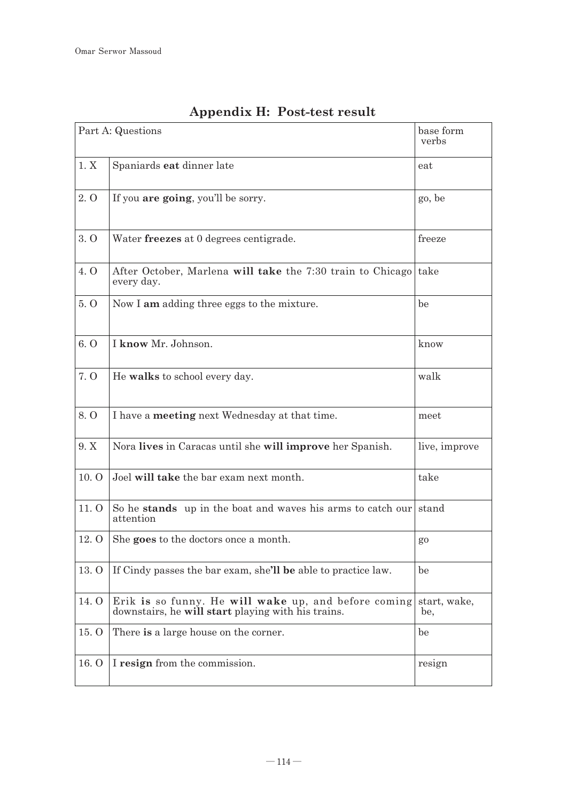|             | Part A: Questions<br>base form<br>verbs                                                                    |                     |
|-------------|------------------------------------------------------------------------------------------------------------|---------------------|
| 1. X        | Spaniards eat dinner late                                                                                  | eat                 |
| 2.0         | If you <b>are going</b> , you'll be sorry.                                                                 | go, be              |
| 3.0         | Water freezes at 0 degrees centigrade.                                                                     | freeze              |
| 4. O        | After October, Marlena will take the 7:30 train to Chicago<br>every day.                                   | take                |
| 5.0         | Now I am adding three eggs to the mixture.                                                                 | be                  |
| 6. $\Omega$ | I know Mr. Johnson.                                                                                        | know                |
| 7. O        | He walks to school every day.                                                                              | walk                |
| 8.0         | I have a meeting next Wednesday at that time.                                                              | meet                |
| 9. X        | Nora lives in Caracas until she will improve her Spanish.                                                  | live, improve       |
| 10.0        | Joel will take the bar exam next month.                                                                    | take                |
| 11. O       | So he stands up in the boat and waves his arms to catch our<br>attention                                   | stand               |
| 12. O       | She goes to the doctors once a month.                                                                      | go                  |
| 13. O       | If Cindy passes the bar exam, she'll be able to practice law.                                              | be                  |
| 14. Q       | Erik is so funny. He will wake up, and before coming<br>downstairs, he will start playing with his trains. | start, wake,<br>be. |
| 15. O       | There is a large house on the corner.                                                                      | be                  |
| 16. O       | I resign from the commission.                                                                              | resign              |

# **Appendix H: Post-test result**